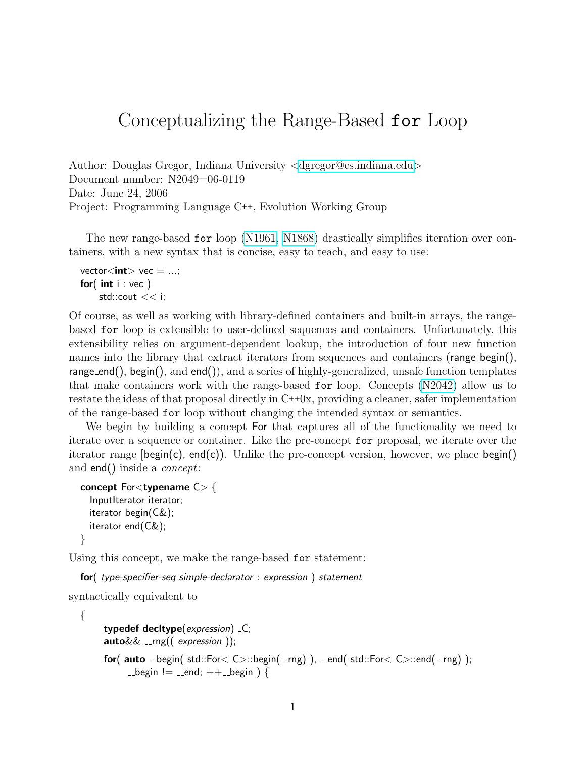## Conceptualizing the Range-Based for Loop

Author: Douglas Gregor, Indiana University <[dgregor@cs.indiana.edu](mailto:dgregor@cs.indiana.edu)> Document number: N2049=06-0119 Date: June 24, 2006 Project: Programming Language C++, Evolution Working Group

The new range-based for loop [\(N1961,](http://www.open-std.org/jtc1/sc22/wg21/docs/papers/2006/n1961.html) [N1868\)](http://www.open-std.org/JTC1/SC22/WG21/docs/papers/2005/n1868.html) drastically simplifies iteration over containers, with a new syntax that is concise, easy to teach, and easy to use:

```
vector\langle \text{int} \rangle vec = ...;
for(int int i : vec)
      std::\text{cout} << i;
```
Of course, as well as working with library-defined containers and built-in arrays, the rangebased for loop is extensible to user-defined sequences and containers. Unfortunately, this extensibility relies on argument-dependent lookup, the introduction of four new function names into the library that extract iterators from sequences and containers (range begin(), range end(), begin(), and end()), and a series of highly-generalized, unsafe function templates that make containers work with the range-based for loop. Concepts [\(N2042\)](http://www.open-std.org/JTC1/SC22/WG21/docs/papers/2005/n2042.pdf) allow us to restate the ideas of that proposal directly in C++0x, providing a cleaner, safer implementation of the range-based for loop without changing the intended syntax or semantics.

We begin by building a concept For that captures all of the functionality we need to iterate over a sequence or container. Like the pre-concept for proposal, we iterate over the iterator range  $\beta$  (begin(c), end(c)). Unlike the pre-concept version, however, we place begin() and end() inside a concept:

```
concept Forlttypename C> {
  InputIterator iterator;
  iterator begin(C&);
  iterator end(C&);
}
```
Using this concept, we make the range-based for statement:

```
for( type-specifier-seq simple-declarator : expression ) statement
syntactically equivalent to
```

```
{
     typedef decltype(expression) _C;
     auto&& __rng(( expression ));
     for( auto _begin( std::For\lt_C>::begin(__rng) ), __end( std::For\lt_C>::end(__rng) );
           \Boxbegin != \Boxend; ++\Boxbegin ) {
```